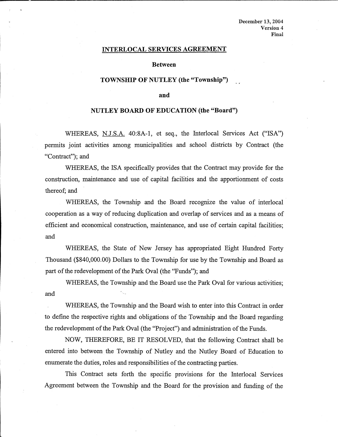### **INTERLOCALSERVICESAGREEMENT**

### **Between**

## **TOWNSHIP OF NUTLEY (the "Township")**

### **and**

# **NUTLEY BOARD OF EDUCATION (the "Board")**

WHEREAS, N.J.S.A. 40:8A-l, et seq., the Interlocal Services Act ("ISA'') permits joint activities among municipalities and school districts by Contract (the "Contract"); and

WHEREAS, the ISA specifically provides that the Contract may provide for the construction, maintenance and use of capital facilities and the apportionment of costs thereof; and

WHEREAS, the Township and the Board recognize the value of interlocal cooperation as a way of reducing duplication and overlap of services and as a means of efficient and economical construction, maintenance, and use of certain capital facilities; and

WHEREAS, the State of New Jersey has appropriated Eight Hundred Forty Thousand (\$840,000.00) Dollars to the Township for use by the Township and Board as part of the redevelopment of the Park Oval (the "Funds"); and

WHEREAS, the Township and the Board use the Park Oval for various activities; and

WHEREAS, the Township and the Board wish to enter into this Contract in order to define the respective rights and obligations of the Township and the Board regarding the redevelopment of the Park Oval (the "Project") and administration of the Funds.

NOW, THEREFORE, BE IT RESOLVED, that the following Contract shall be entered into between the Township of Nutley and the Nutley Board of Education to enumerate the duties, roles and responsibilities of the contracting parties.

This Contract sets forth the specific provisions for the Interlocal Services Agreement between the Township and the Board for the provision and funding of the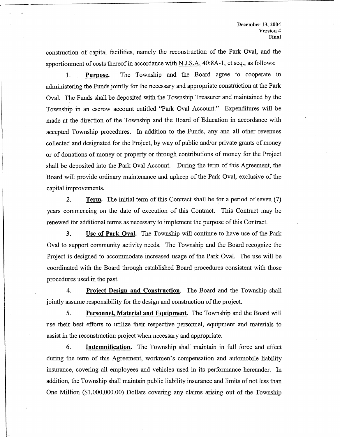construction of capital facilities, namely the reconstruction of the Park Oval, and the apportionment of costs thereof in accordance with  $N.J.S.A.$  40:8A-1, et seq., as follows:

**1. Purpose.** The Township and the Board agree to cooperate in administering the Funds jointly for the necessary and appropriate construction at the Park Oval. The Funds shall be deposited with the Township Treasurer and maintained by the Township in an escrow account entitled "Park Oval Account." Expenditures will be made at the direction of the Township and the Board of Education in accordance with accepted Township procedures. In addition to the Funds, any and all other revenues collected and designated for the Project, by way of public and/or private grants of money or of donations of money or property or through contributions of money for the Project shall be deposited into the Park Oval Account. During the term of this Agreement, the Board will provide ordinary maintenance and upkeep of the Park Oval, exclusive of the capital improvements.

2. **Term.** The initial term of this Contract shall be for a period of seven (7) years commencing on the date of execution of this Contract. This Contract may be renewed for additional terms as necessary to implement the purpose of this Contract.

3. **Use of Park Oval.** The Township will continue to have use of the Park Oval to support community activity needs. The Township and the Board recognize the Project is designed to accommodate increased usage of the Park Oval. The use will be coordinated with the Board through established Board procedures consistent with those procedures used in the past.

4. **Project Design and Construction.** The Board and the Township shall jointly assume responsibility for the design and construction of the project.

5. **Personnel, Material and Equipment.** The Township and the Board will use their best efforts to utilize their respective personnel, equipment and materials to assist in the reconstruction project when necessary and appropriate.

6. **Indemnification.** The Township shall maintain in full force and effect during the term of this Agreement, workmen's compensation and automobile liability insurance, covering all employees and vehicles used in its performance hereunder. In addition, the Township shall maintain public liability insurance and limits of not less than One Million (\$1,000,000.00) Dollars covering any claims arising out of the Township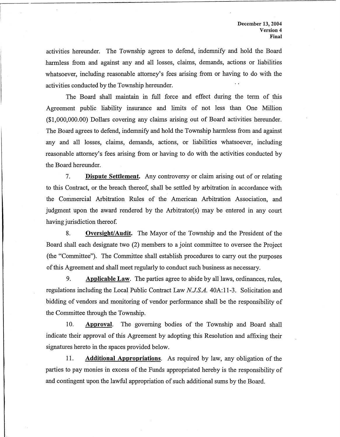activities hereunder. The Township agrees to defend, indemnify and hold the Board harmless from and against any and all losses, claims, demands, actions or liabilities whatsoever, including reasonable attorney's fees arising from or having to do with the activities conducted by the Township hereunder.

The Board shall maintain in full force and effect during the term of this Agreement public liability insurance and limits of not less than One Million (\$1,000,000.00) Dollars covering any claims arising out of Board activities hereunder. The Board agrees to defend, indemnify and hold the Township harmless from and against any and all losses, claims, demands, actions, or liabilities whatsoever, including reasonable attorney's fees arising from or having to do with the activities conducted by the Board hereunder.

7. **Dispute Settlement.** Any controversy or claim arising out of or relating to this Contract, or the breach thereof, shall be settled by arbitration in accordance with the Commercial Arbitration Rules of the American Arbitration Association, and judgment upon the award rendered by the Arbitrator(s) may be entered in any court having jurisdiction thereof.

8. **Oversight/Audit.** The Mayor of the Township and the President of the Board shall each designate two (2) members to a joint committee to oversee the Project (the "Committee"). The Committee shall establish procedures to carry out the purposes of this Agreement and shall meet regularly to conduct such business as necessary.

9. **Applicable Law.** The parties agree to abide by all laws, ordinances, rules, regulations including the Local Public Contract Law *N.J.S.A.* 40A:11-3. Solicitation and bidding of vendors and monitoring of vendor performance shall be the responsibility of the Committee through the Township.

10. **Approval.** The governing bodies of the Township and Board shall indicate their approval of this Agreement by adopting this Resolution and affixing their signatures hereto in the spaces provided below.

11. **Additional Appropriations.** As required by law, any obligation of the parties to pay monies in excess of the Funds appropriated hereby is the responsibility of and contingent upon the lawful appropriation of such additional sums by the Board.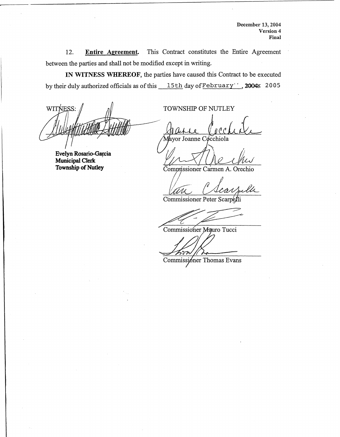**December 13,** 2004 **Version 4 Final** 

12. **Entire Agreement.** This Contract constitutes the Entire Agreement between the parties and shall not be modified except in writing.

**IN WITNESS WHEREOF,** the parties have caused this Contract to be executed by their duly authorized officials as of this  $15th$  day of February",  $2004x$  2005

WITNESS:

**Evelyn Rosario-Garcia Municipal Clerk Township of Nutley** 

TOWNSHIP OF NUTLEY

or Joanne Cocchiola

Commissioner Carmen A. Orechio

an C University of *Checked Commissioner Carmen A. Orechio*<br>Commissioner Peter Scarpelli

Commissioner Mauro Tucci

Commissioner Thomas Evans